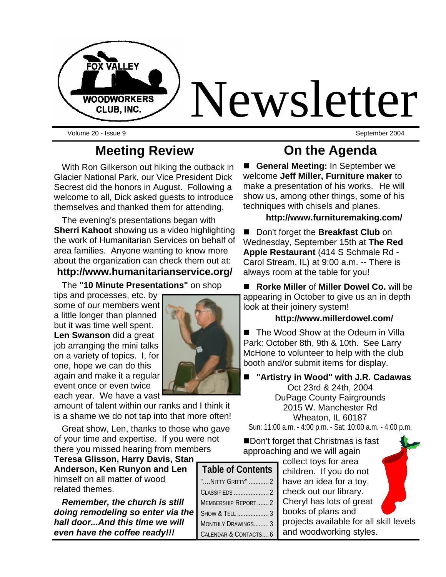

Volume 20 - Issue 9 September 2004

## **Meeting Review**

With Ron Gilkerson out hiking the outback in Glacier National Park, our Vice President Dick Secrest did the honors in August. Following a welcome to all, Dick asked guests to introduce themselves and thanked them for attending.

The evening's presentations began with **Sherri Kahoot** showing us a video highlighting the work of Humanitarian Services on behalf of area families. Anyone wanting to know more about the organization can check them out at:

#### **http://www.humanitarianservice.org/**

The **"10 Minute Presentations"** on shop

tips and processes, etc. by some of our members went a little longer than planned but it was time well spent. **Len Swanson** did a great job arranging the mini talks on a variety of topics. I, for one, hope we can do this again and make it a regular event once or even twice each year. We have a vast

amount of talent within our ranks and I think it is a shame we do not tap into that more often!

Great show, Len, thanks to those who gave of your time and expertise. If you were not there you missed hearing from members

**Teresa Glisson, Harry Davis, Stan Anderson, Ken Runyon and Len**  himself on all matter of wood related themes.

*Remember, the church is still doing remodeling so enter via the hall door...And this time we will even have the coffee ready!!!*

## **On the Agenda**

**E** General Meeting: In September we welcome **Jeff Miller, Furniture maker** to make a presentation of his works.He will show us, among other things, some of his techniques with chisels and planes.

#### **http://www.furnituremaking.com/**

■ Don't forget the **Breakfast Club** on Wednesday, September 15th at **The Red Apple Restaurant** (414 S Schmale Rd - Carol Stream, IL) at 9:00 a.m. -- There is always room at the table for you!

n **Rorke Miller** of **Miller Dowel Co.** will be appearing in October to give us an in depth look at their joinery system!

#### **http://www.millerdowel.com/**

■ The Wood Show at the Odeum in Villa Park: October 8th, 9th & 10th. See Larry McHone to volunteer to help with the club booth and/or submit items for display.

■ "Artistry in Wood" with **J.R. Cadawas** Oct 23rd & 24th, 2004 DuPage County Fairgrounds 2015 W. Manchester Rd Wheaton, IL 60187 Sun: 11:00 a.m. - 4:00 p.m. - Sat: 10:00 a.m. - 4:00 p.m.

Don't forget that Christmas is fast approaching and we will again

collect toys for area children. If you do not have an idea for a toy, check out our library. Cheryl has lots of great books of plans and projects available for all skill levels and woodworking styles.

| <b>Table of Contents</b>  |  |  |
|---------------------------|--|--|
| "NITTY GRITTY" 2          |  |  |
|                           |  |  |
| <b>MEMBERSHIP REPORT2</b> |  |  |
| SHOW & TELL 3             |  |  |
| MONTHLY DRAWINGS 3        |  |  |
| CALENDAR & CONTACTS 6     |  |  |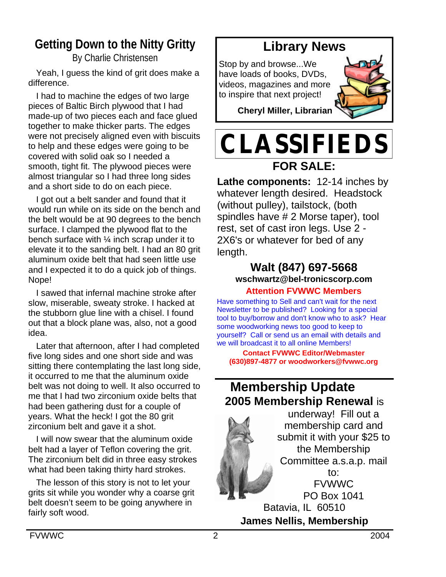## **Getting Down to the Nitty Gritty**

By Charlie Christensen

Yeah, I guess the kind of grit does make a difference.

I had to machine the edges of two large pieces of Baltic Birch plywood that I had made-up of two pieces each and face glued together to make thicker parts. The edges were not precisely aligned even with biscuits to help and these edges were going to be covered with solid oak so I needed a smooth, tight fit. The plywood pieces were almost triangular so I had three long sides and a short side to do on each piece.

I got out a belt sander and found that it would run while on its side on the bench and the belt would be at 90 degrees to the bench surface. I clamped the plywood flat to the bench surface with  $\frac{1}{4}$  inch scrap under it to elevate it to the sanding belt. I had an 80 grit aluminum oxide belt that had seen little use and I expected it to do a quick job of things. Nope!

I sawed that infernal machine stroke after slow, miserable, sweaty stroke. I hacked at the stubborn glue line with a chisel. I found out that a block plane was, also, not a good idea.

Later that afternoon, after I had completed five long sides and one short side and was sitting there contemplating the last long side, it occurred to me that the aluminum oxide belt was not doing to well. It also occurred to me that I had two zirconium oxide belts that had been gathering dust for a couple of years. What the heck! I got the 80 grit zirconium belt and gave it a shot.

I will now swear that the aluminum oxide belt had a layer of Teflon covering the grit. The zirconium belt did in three easy strokes what had been taking thirty hard strokes.

The lesson of this story is not to let your grits sit while you wonder why a coarse grit belt doesn't seem to be going anywhere in fairly soft wood.

## **Library News**

Stop by and browse...We have loads of books, DVDs, videos, magazines and more to inspire that next project!



**Cheryl Miller, Librarian**

# **CLASSIFIEDS FOR SALE:**

**Lathe components:** 12-14 inches by whatever length desired. Headstock (without pulley), tailstock, (both spindles have # 2 Morse taper), tool rest, set of cast iron legs. Use 2 - 2X6's or whatever for bed of any length.

## **Walt (847) 697-5668 wschwartz@bel-tronicscorp.com**

#### **Attention FVWWC Members**

Have something to Sell and can't wait for the next Newsletter to be published? Looking for a special tool to buy/borrow and don't know who to ask? Hear some woodworking news too good to keep to yourself? Call or send us an email with details and we will broadcast it to all online Members!

**Contact FVWWC Editor/Webmaster (630)897-4877 or woodworkers@fvwwc.org**

## **Membership Update 2005 Membership Renewal** is



membership card and submit it with your \$25 to the Membership Committee a.s.a.p. mail FVWWC PO Box 1041 **James Nellis, Membership**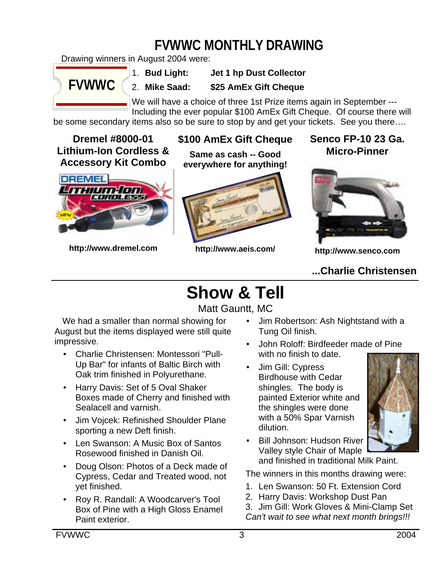# **FVWWC MONTHLY DRAWING**

Drawing winners in August 2004 were:



1. **Bud Light: Jet 1 hp Dust Collector**

2. **Mike Saad: \$25 AmEx Gift Cheque**

We will have a choice of three 1st Prize items again in September --- Including the ever popular \$100 AmEx Gift Cheque. Of course there will

be some secondary items also so be sure to stop by and get your tickets. See you there….

#### **Dremel #8000-01 Lithium-Ion Cordless & Accessory Kit Combo**



**http://www.dremel.com**

### **\$100 AmEx Gift Cheque**

**Same as cash -- Good everywhere for anything!**



**http://www.aeis.com/**

**Senco FP-10 23 Ga. Micro-Pinner**



**http://www.senco.com**

### **...Charlie Christensen**

# **Show & Tell**

Matt Gauntt, MC

We had a smaller than normal showing for August but the items displayed were still quite impressive.

- Charlie Christensen: Montessori "Pull-Up Bar" for infants of Baltic Birch with Oak trim finished in Polyurethane.
- Harry Davis: Set of 5 Oval Shaker Boxes made of Cherry and finished with Sealacell and varnish.
- Jim Vojcek: Refinished Shoulder Plane sporting a new Deft finish.
- Len Swanson: A Music Box of Santos Rosewood finished in Danish Oil.
- Doug Olson: Photos of a Deck made of Cypress, Cedar and Treated wood, not yet finished.
- Roy R. Randall: A Woodcarver's Tool Box of Pine with a High Gloss Enamel Paint exterior.
- Jim Robertson: Ash Nightstand with a Tung Oil finish.
- John Roloff: Birdfeeder made of Pine with no finish to date.
- Jim Gill: Cypress Birdhouse with Cedar shingles. The body is painted Exterior white and the shingles were done with a 50% Spar Varnish dilution.



• Bill Johnson: Hudson River Valley style Chair of Maple and finished in traditional Milk Paint.

The winners in this months drawing were:

- 1. Len Swanson: 50 Ft. Extension Cord
- 2. Harry Davis: Workshop Dust Pan

3. Jim Gill: Work Gloves & Mini-Clamp Set *Can't wait to see what next month brings!!!*